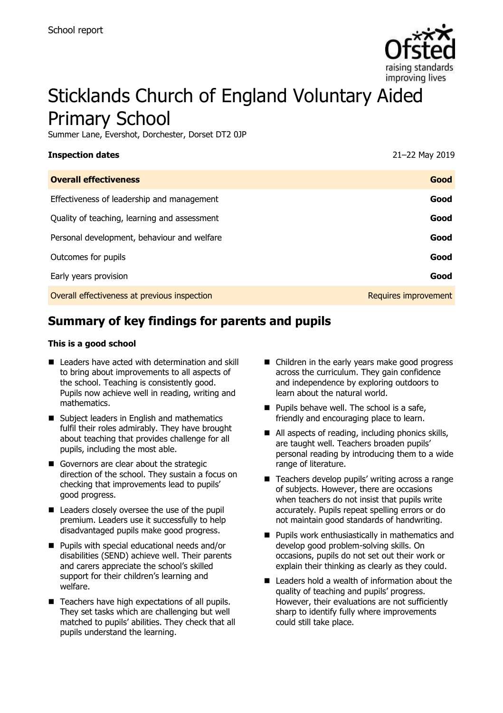

# Sticklands Church of England Voluntary Aided Primary School

Summer Lane, Evershot, Dorchester, Dorset DT2 0JP

| <b>Inspection dates</b>                      | 21-22 May 2019       |
|----------------------------------------------|----------------------|
| <b>Overall effectiveness</b>                 | Good                 |
| Effectiveness of leadership and management   | Good                 |
| Quality of teaching, learning and assessment | Good                 |
| Personal development, behaviour and welfare  | Good                 |
| Outcomes for pupils                          | Good                 |
| Early years provision                        | Good                 |
| Overall effectiveness at previous inspection | Requires improvement |

# **Summary of key findings for parents and pupils**

#### **This is a good school**

- Leaders have acted with determination and skill to bring about improvements to all aspects of the school. Teaching is consistently good. Pupils now achieve well in reading, writing and mathematics.
- Subject leaders in English and mathematics fulfil their roles admirably. They have brought about teaching that provides challenge for all pupils, including the most able.
- Governors are clear about the strategic direction of the school. They sustain a focus on checking that improvements lead to pupils' good progress.
- Leaders closely oversee the use of the pupil premium. Leaders use it successfully to help disadvantaged pupils make good progress.
- **Pupils with special educational needs and/or** disabilities (SEND) achieve well. Their parents and carers appreciate the school's skilled support for their children's learning and welfare.
- Teachers have high expectations of all pupils. They set tasks which are challenging but well matched to pupils' abilities. They check that all pupils understand the learning.
- Children in the early years make good progress across the curriculum. They gain confidence and independence by exploring outdoors to learn about the natural world.
- $\blacksquare$  Pupils behave well. The school is a safe, friendly and encouraging place to learn.
- All aspects of reading, including phonics skills, are taught well. Teachers broaden pupils' personal reading by introducing them to a wide range of literature.
- Teachers develop pupils' writing across a range of subjects. However, there are occasions when teachers do not insist that pupils write accurately. Pupils repeat spelling errors or do not maintain good standards of handwriting.
- **Pupils work enthusiastically in mathematics and** develop good problem-solving skills. On occasions, pupils do not set out their work or explain their thinking as clearly as they could.
- Leaders hold a wealth of information about the quality of teaching and pupils' progress. However, their evaluations are not sufficiently sharp to identify fully where improvements could still take place.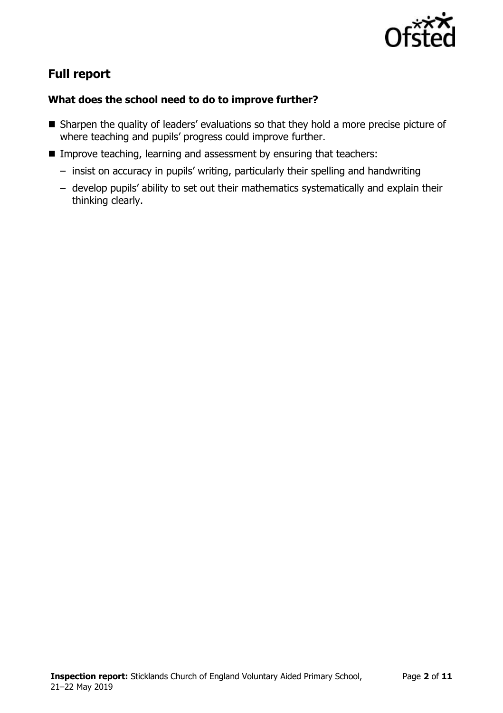

# **Full report**

# **What does the school need to do to improve further?**

- Sharpen the quality of leaders' evaluations so that they hold a more precise picture of where teaching and pupils' progress could improve further.
- Improve teaching, learning and assessment by ensuring that teachers:
	- insist on accuracy in pupils' writing, particularly their spelling and handwriting
	- develop pupils' ability to set out their mathematics systematically and explain their thinking clearly.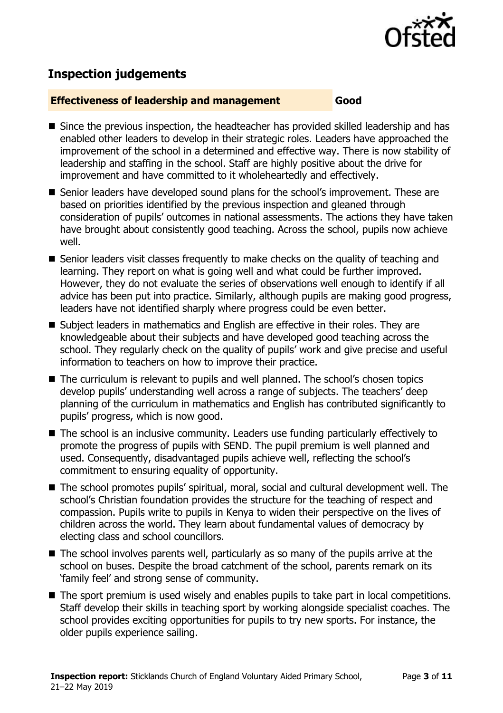

# **Inspection judgements**

## **Effectiveness of leadership and management Good**

- Since the previous inspection, the headteacher has provided skilled leadership and has enabled other leaders to develop in their strategic roles. Leaders have approached the improvement of the school in a determined and effective way. There is now stability of leadership and staffing in the school. Staff are highly positive about the drive for improvement and have committed to it wholeheartedly and effectively.
- Senior leaders have developed sound plans for the school's improvement. These are based on priorities identified by the previous inspection and gleaned through consideration of pupils' outcomes in national assessments. The actions they have taken have brought about consistently good teaching. Across the school, pupils now achieve well.
- Senior leaders visit classes frequently to make checks on the quality of teaching and learning. They report on what is going well and what could be further improved. However, they do not evaluate the series of observations well enough to identify if all advice has been put into practice. Similarly, although pupils are making good progress, leaders have not identified sharply where progress could be even better.
- Subject leaders in mathematics and English are effective in their roles. They are knowledgeable about their subjects and have developed good teaching across the school. They regularly check on the quality of pupils' work and give precise and useful information to teachers on how to improve their practice.
- The curriculum is relevant to pupils and well planned. The school's chosen topics develop pupils' understanding well across a range of subjects. The teachers' deep planning of the curriculum in mathematics and English has contributed significantly to pupils' progress, which is now good.
- The school is an inclusive community. Leaders use funding particularly effectively to promote the progress of pupils with SEND. The pupil premium is well planned and used. Consequently, disadvantaged pupils achieve well, reflecting the school's commitment to ensuring equality of opportunity.
- The school promotes pupils' spiritual, moral, social and cultural development well. The school's Christian foundation provides the structure for the teaching of respect and compassion. Pupils write to pupils in Kenya to widen their perspective on the lives of children across the world. They learn about fundamental values of democracy by electing class and school councillors.
- $\blacksquare$  The school involves parents well, particularly as so many of the pupils arrive at the school on buses. Despite the broad catchment of the school, parents remark on its 'family feel' and strong sense of community.
- The sport premium is used wisely and enables pupils to take part in local competitions. Staff develop their skills in teaching sport by working alongside specialist coaches. The school provides exciting opportunities for pupils to try new sports. For instance, the older pupils experience sailing.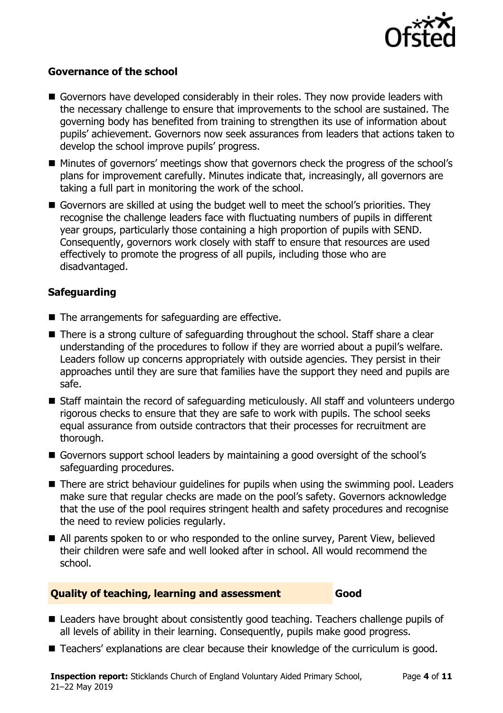

#### **Governance of the school**

- Governors have developed considerably in their roles. They now provide leaders with the necessary challenge to ensure that improvements to the school are sustained. The governing body has benefited from training to strengthen its use of information about pupils' achievement. Governors now seek assurances from leaders that actions taken to develop the school improve pupils' progress.
- Minutes of governors' meetings show that governors check the progress of the school's plans for improvement carefully. Minutes indicate that, increasingly, all governors are taking a full part in monitoring the work of the school.
- Governors are skilled at using the budget well to meet the school's priorities. They recognise the challenge leaders face with fluctuating numbers of pupils in different year groups, particularly those containing a high proportion of pupils with SEND. Consequently, governors work closely with staff to ensure that resources are used effectively to promote the progress of all pupils, including those who are disadvantaged.

# **Safeguarding**

- The arrangements for safeguarding are effective.
- There is a strong culture of safeguarding throughout the school. Staff share a clear understanding of the procedures to follow if they are worried about a pupil's welfare. Leaders follow up concerns appropriately with outside agencies. They persist in their approaches until they are sure that families have the support they need and pupils are safe.
- Staff maintain the record of safeguarding meticulously. All staff and volunteers undergo rigorous checks to ensure that they are safe to work with pupils. The school seeks equal assurance from outside contractors that their processes for recruitment are thorough.
- Governors support school leaders by maintaining a good oversight of the school's safeguarding procedures.
- There are strict behaviour quidelines for pupils when using the swimming pool. Leaders make sure that regular checks are made on the pool's safety. Governors acknowledge that the use of the pool requires stringent health and safety procedures and recognise the need to review policies regularly.
- All parents spoken to or who responded to the online survey, Parent View, believed their children were safe and well looked after in school. All would recommend the school.

#### **Quality of teaching, learning and assessment Good**

- Leaders have brought about consistently good teaching. Teachers challenge pupils of all levels of ability in their learning. Consequently, pupils make good progress.
- Teachers' explanations are clear because their knowledge of the curriculum is good.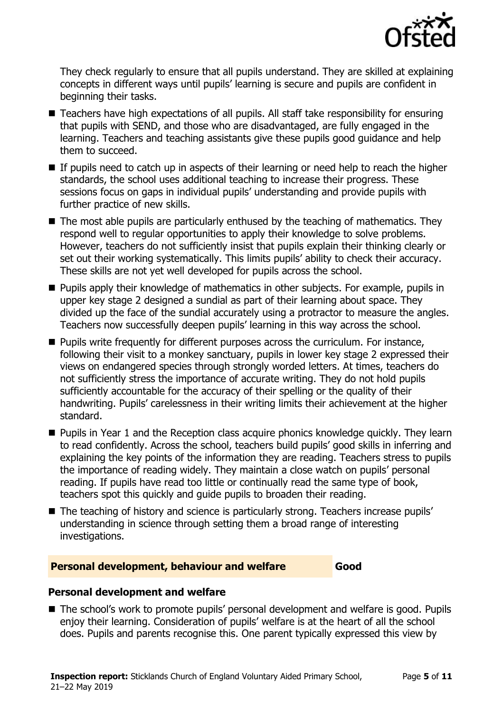

They check regularly to ensure that all pupils understand. They are skilled at explaining concepts in different ways until pupils' learning is secure and pupils are confident in beginning their tasks.

- Teachers have high expectations of all pupils. All staff take responsibility for ensuring that pupils with SEND, and those who are disadvantaged, are fully engaged in the learning. Teachers and teaching assistants give these pupils good guidance and help them to succeed.
- If pupils need to catch up in aspects of their learning or need help to reach the higher standards, the school uses additional teaching to increase their progress. These sessions focus on gaps in individual pupils' understanding and provide pupils with further practice of new skills.
- $\blacksquare$  The most able pupils are particularly enthused by the teaching of mathematics. They respond well to regular opportunities to apply their knowledge to solve problems. However, teachers do not sufficiently insist that pupils explain their thinking clearly or set out their working systematically. This limits pupils' ability to check their accuracy. These skills are not yet well developed for pupils across the school.
- **Pupils apply their knowledge of mathematics in other subjects. For example, pupils in** upper key stage 2 designed a sundial as part of their learning about space. They divided up the face of the sundial accurately using a protractor to measure the angles. Teachers now successfully deepen pupils' learning in this way across the school.
- Pupils write frequently for different purposes across the curriculum. For instance, following their visit to a monkey sanctuary, pupils in lower key stage 2 expressed their views on endangered species through strongly worded letters. At times, teachers do not sufficiently stress the importance of accurate writing. They do not hold pupils sufficiently accountable for the accuracy of their spelling or the quality of their handwriting. Pupils' carelessness in their writing limits their achievement at the higher standard.
- **Pupils in Year 1 and the Reception class acquire phonics knowledge quickly. They learn** to read confidently. Across the school, teachers build pupils' good skills in inferring and explaining the key points of the information they are reading. Teachers stress to pupils the importance of reading widely. They maintain a close watch on pupils' personal reading. If pupils have read too little or continually read the same type of book, teachers spot this quickly and guide pupils to broaden their reading.
- The teaching of history and science is particularly strong. Teachers increase pupils' understanding in science through setting them a broad range of interesting investigations.

# **Personal development, behaviour and welfare Good**

# **Personal development and welfare**

■ The school's work to promote pupils' personal development and welfare is good. Pupils enjoy their learning. Consideration of pupils' welfare is at the heart of all the school does. Pupils and parents recognise this. One parent typically expressed this view by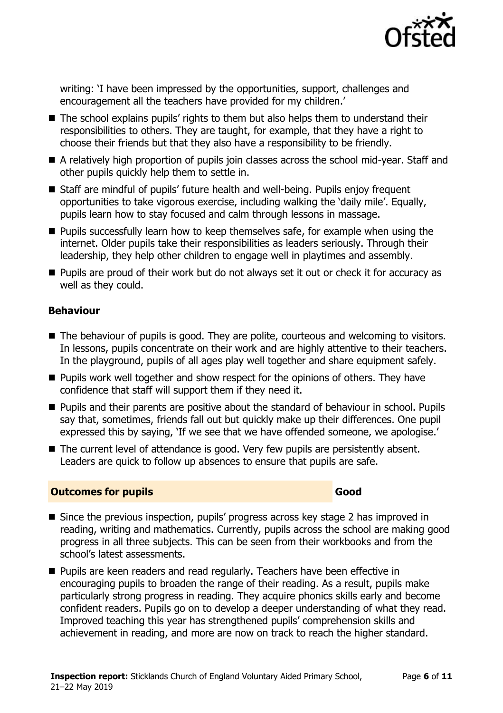

writing: 'I have been impressed by the opportunities, support, challenges and encouragement all the teachers have provided for my children.'

- The school explains pupils' rights to them but also helps them to understand their responsibilities to others. They are taught, for example, that they have a right to choose their friends but that they also have a responsibility to be friendly.
- A relatively high proportion of pupils join classes across the school mid-year. Staff and other pupils quickly help them to settle in.
- Staff are mindful of pupils' future health and well-being. Pupils enjoy frequent opportunities to take vigorous exercise, including walking the 'daily mile'. Equally, pupils learn how to stay focused and calm through lessons in massage.
- **Pupils successfully learn how to keep themselves safe, for example when using the** internet. Older pupils take their responsibilities as leaders seriously. Through their leadership, they help other children to engage well in playtimes and assembly.
- **Pupils are proud of their work but do not always set it out or check it for accuracy as** well as they could.

## **Behaviour**

- The behaviour of pupils is good. They are polite, courteous and welcoming to visitors. In lessons, pupils concentrate on their work and are highly attentive to their teachers. In the playground, pupils of all ages play well together and share equipment safely.
- **Pupils work well together and show respect for the opinions of others. They have** confidence that staff will support them if they need it.
- **Pupils and their parents are positive about the standard of behaviour in school. Pupils** say that, sometimes, friends fall out but quickly make up their differences. One pupil expressed this by saying, 'If we see that we have offended someone, we apologise.'
- The current level of attendance is good. Very few pupils are persistently absent. Leaders are quick to follow up absences to ensure that pupils are safe.

#### **Outcomes for pupils Good**

- Since the previous inspection, pupils' progress across key stage 2 has improved in reading, writing and mathematics. Currently, pupils across the school are making good progress in all three subjects. This can be seen from their workbooks and from the school's latest assessments.
- **Pupils are keen readers and read regularly. Teachers have been effective in** encouraging pupils to broaden the range of their reading. As a result, pupils make particularly strong progress in reading. They acquire phonics skills early and become confident readers. Pupils go on to develop a deeper understanding of what they read. Improved teaching this year has strengthened pupils' comprehension skills and achievement in reading, and more are now on track to reach the higher standard.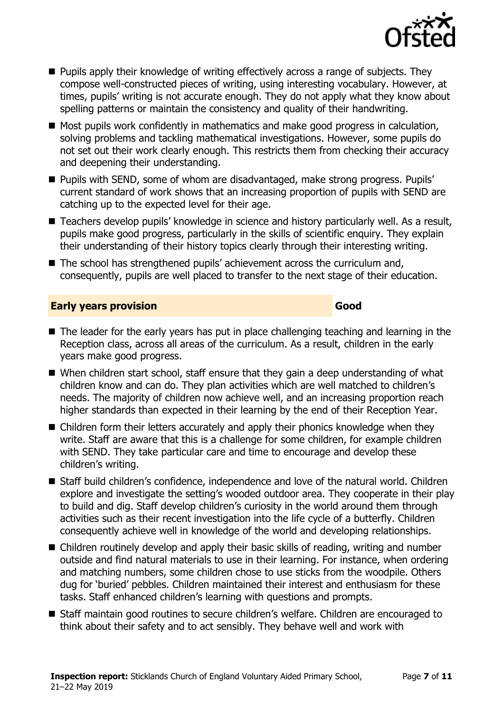

- **Pupils apply their knowledge of writing effectively across a range of subjects. They** compose well-constructed pieces of writing, using interesting vocabulary. However, at times, pupils' writing is not accurate enough. They do not apply what they know about spelling patterns or maintain the consistency and quality of their handwriting.
- Most pupils work confidently in mathematics and make good progress in calculation, solving problems and tackling mathematical investigations. However, some pupils do not set out their work clearly enough. This restricts them from checking their accuracy and deepening their understanding.
- Pupils with SEND, some of whom are disadvantaged, make strong progress. Pupils' current standard of work shows that an increasing proportion of pupils with SEND are catching up to the expected level for their age.
- Teachers develop pupils' knowledge in science and history particularly well. As a result, pupils make good progress, particularly in the skills of scientific enquiry. They explain their understanding of their history topics clearly through their interesting writing.
- The school has strengthened pupils' achievement across the curriculum and, consequently, pupils are well placed to transfer to the next stage of their education.

## **Early years provision Good Good**

- The leader for the early years has put in place challenging teaching and learning in the Reception class, across all areas of the curriculum. As a result, children in the early years make good progress.
- When children start school, staff ensure that they gain a deep understanding of what children know and can do. They plan activities which are well matched to children's needs. The majority of children now achieve well, and an increasing proportion reach higher standards than expected in their learning by the end of their Reception Year.
- Children form their letters accurately and apply their phonics knowledge when they write. Staff are aware that this is a challenge for some children, for example children with SEND. They take particular care and time to encourage and develop these children's writing.
- Staff build children's confidence, independence and love of the natural world. Children explore and investigate the setting's wooded outdoor area. They cooperate in their play to build and dig. Staff develop children's curiosity in the world around them through activities such as their recent investigation into the life cycle of a butterfly. Children consequently achieve well in knowledge of the world and developing relationships.
- Children routinely develop and apply their basic skills of reading, writing and number outside and find natural materials to use in their learning. For instance, when ordering and matching numbers, some children chose to use sticks from the woodpile. Others dug for 'buried' pebbles. Children maintained their interest and enthusiasm for these tasks. Staff enhanced children's learning with questions and prompts.
- Staff maintain good routines to secure children's welfare. Children are encouraged to think about their safety and to act sensibly. They behave well and work with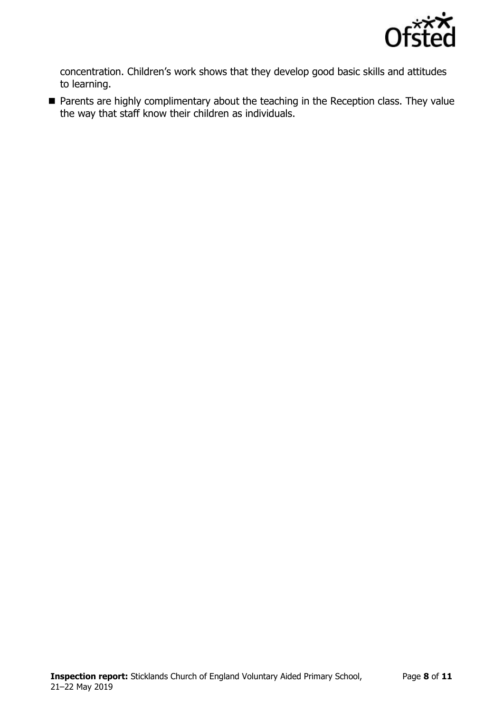

concentration. Children's work shows that they develop good basic skills and attitudes to learning.

**Parents are highly complimentary about the teaching in the Reception class. They value** the way that staff know their children as individuals.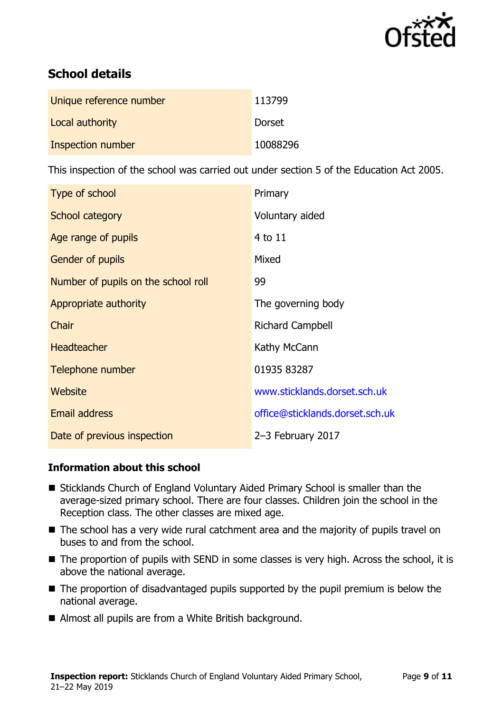

# **School details**

| Unique reference number | 113799        |
|-------------------------|---------------|
| Local authority         | <b>Dorset</b> |
| Inspection number       | 10088296      |

This inspection of the school was carried out under section 5 of the Education Act 2005.

| Type of school                      | Primary                         |
|-------------------------------------|---------------------------------|
| School category                     | Voluntary aided                 |
| Age range of pupils                 | 4 to 11                         |
| <b>Gender of pupils</b>             | Mixed                           |
| Number of pupils on the school roll | 99                              |
| Appropriate authority               | The governing body              |
| Chair                               | <b>Richard Campbell</b>         |
| <b>Headteacher</b>                  | Kathy McCann                    |
| Telephone number                    | 01935 83287                     |
| Website                             | www.sticklands.dorset.sch.uk    |
| Email address                       | office@sticklands.dorset.sch.uk |
| Date of previous inspection         | 2-3 February 2017               |

# **Information about this school**

- Sticklands Church of England Voluntary Aided Primary School is smaller than the average-sized primary school. There are four classes. Children join the school in the Reception class. The other classes are mixed age.
- The school has a very wide rural catchment area and the majority of pupils travel on buses to and from the school.
- The proportion of pupils with SEND in some classes is very high. Across the school, it is above the national average.
- The proportion of disadvantaged pupils supported by the pupil premium is below the national average.
- Almost all pupils are from a White British background.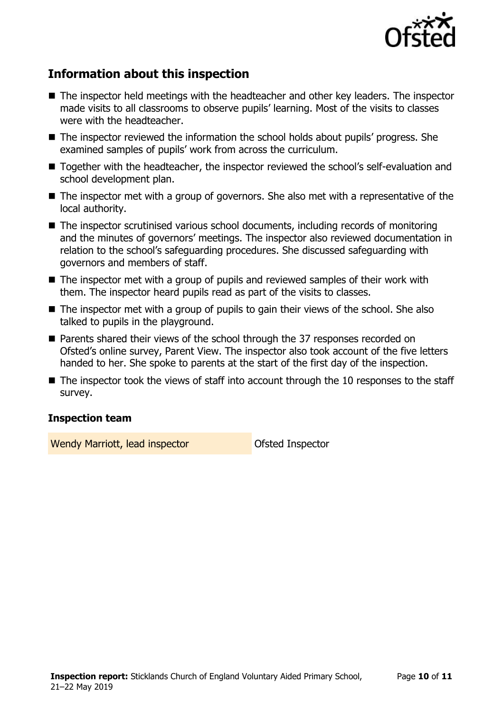

# **Information about this inspection**

- The inspector held meetings with the headteacher and other key leaders. The inspector made visits to all classrooms to observe pupils' learning. Most of the visits to classes were with the headteacher.
- The inspector reviewed the information the school holds about pupils' progress. She examined samples of pupils' work from across the curriculum.
- Together with the headteacher, the inspector reviewed the school's self-evaluation and school development plan.
- The inspector met with a group of governors. She also met with a representative of the local authority.
- The inspector scrutinised various school documents, including records of monitoring and the minutes of governors' meetings. The inspector also reviewed documentation in relation to the school's safeguarding procedures. She discussed safeguarding with governors and members of staff.
- The inspector met with a group of pupils and reviewed samples of their work with them. The inspector heard pupils read as part of the visits to classes.
- The inspector met with a group of pupils to gain their views of the school. She also talked to pupils in the playground.
- Parents shared their views of the school through the 37 responses recorded on Ofsted's online survey, Parent View. The inspector also took account of the five letters handed to her. She spoke to parents at the start of the first day of the inspection.
- $\blacksquare$  The inspector took the views of staff into account through the 10 responses to the staff survey.

# **Inspection team**

Wendy Marriott, lead inspector **National State Inspector**